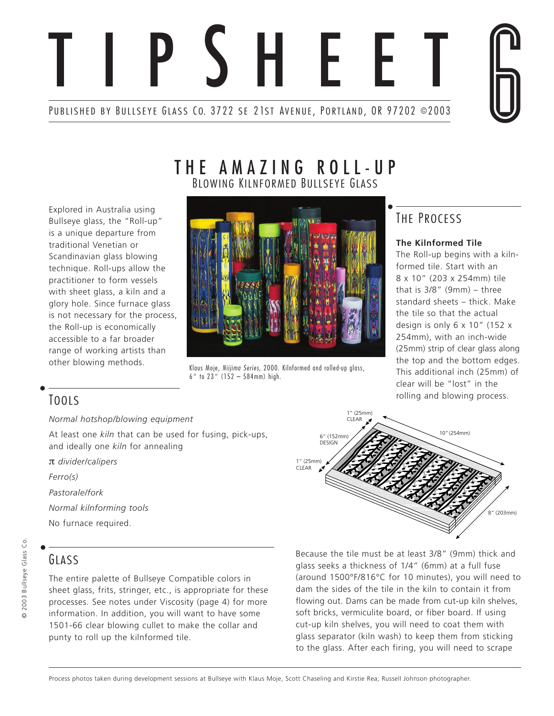

Explored in Australia using Bullseye glass, the "Roll-up" is a unique departure from traditional Venetian or Scandinavian glass blowing technique. Roll-ups allow the practitioner to form vessels with sheet glass, a kiln and a glory hole. Since furnace glass is not necessary for the process, the Roll-up is economically accessible to a far broader range of working artists than other blowing methods.

# THE AMAZING ROLL-UP BLOWING KILNFORMED BULLSEYE GLASS



Klaus Moje, Niijima Series, 2000. Kilnformed and rolled-up glass, 6" to 23" (152 – 584mm) high.

# THE PROCESS

# **The Kilnformed Tile**

The Roll-up begins with a kilnformed tile. Start with an 8 x 10" (203 x 254mm) tile that is 3/8" (9mm) – three standard sheets – thick. Make the tile so that the actual design is only 6 x 10" (152 x 254mm), with an inch-wide (25mm) strip of clear glass along the top and the bottom edges. This additional inch (25mm) of clear will be "lost" in the rolling and blowing process.

# TOOLS

*Normal hotshop/blowing equipment*

At least one *kiln* that can be used for fusing, pick-ups, and ideally one *kiln* for annealing

π *divider/calipers*

*Ferro(s)*

*Pastorale/fork*

*Normal kilnforming tools*

No furnace required.

# GLASS

The entire palette of Bullseye Compatible colors in sheet glass, frits, stringer, etc., is appropriate for these processes. See notes under Viscosity (page 4) for more information. In addition, you will want to have some 1501-66 clear blowing cullet to make the collar and punty to roll up the kilnformed tile.



Because the tile must be at least 3/8" (9mm) thick and glass seeks a thickness of 1/4" (6mm) at a full fuse (around 1500°F/816°C for 10 minutes), you will need to dam the sides of the tile in the kiln to contain it from flowing out. Dams can be made from cut-up kiln shelves, soft bricks, vermiculite board, or fiber board. If using cut-up kiln shelves, you will need to coat them with glass separator (kiln wash) to keep them from sticking to the glass. After each firing, you will need to scrape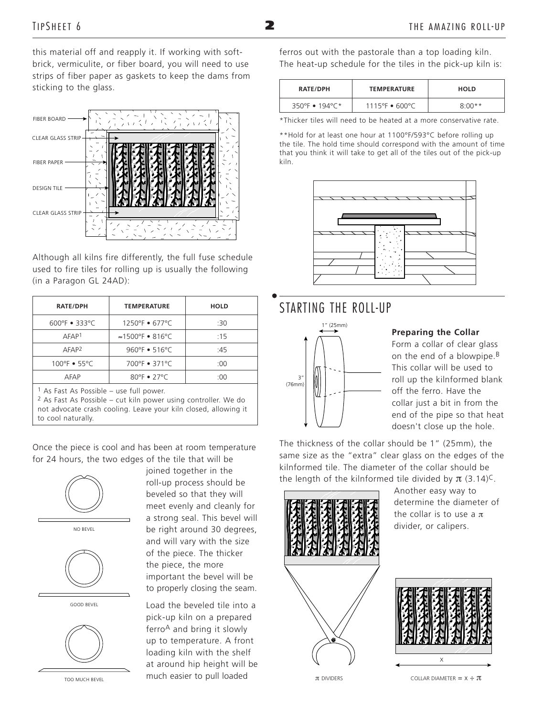this material off and reapply it. If working with softbrick, vermiculite, or fiber board, you will need to use strips of fiber paper as gaskets to keep the dams from sticking to the glass.



Although all kilns fire differently, the full fuse schedule used to fire tiles for rolling up is usually the following (in a Paragon GL 24AD):

| <b>RATE/DPH</b>                       | <b>TEMPERATURE</b>            | <b>HOLD</b> |
|---------------------------------------|-------------------------------|-------------|
| 600°F • 333°C                         | $1250^{\circ}F$ • 677°C       | :30         |
| AFAP <sup>1</sup>                     | $\approx$ 1500°F • 816°C      | :15         |
| AFAP <sup>2</sup>                     | 960°F $\bullet$ 516°C         | :45         |
| 100°F • 55°C                          | 700°F • 371°C                 | :00         |
| AFAP                                  | $80^{\circ}$ F $\bullet$ 27°C | :00         |
| 1 Ac East As Dossible Luse full power |                               |             |

As Fast As Possible – use full power.

2 As Fast As Possible – cut kiln power using controller. We do not advocate crash cooling. Leave your kiln closed, allowing it to cool naturally.

Once the piece is cool and has been at room temperature for 24 hours, the two edges of the tile that will be



joined together in the roll-up process should be beveled so that they will meet evenly and cleanly for a strong seal. This bevel will be right around 30 degrees, and will vary with the size of the piece. The thicker the piece, the more important the bevel will be to properly closing the seam.

Load the beveled tile into a pick-up kiln on a prepared ferroA and bring it slowly up to temperature. A front loading kiln with the shelf at around hip height will be  $T$ OO MUCH BEVEL **TOO MUCH EXAMPLE TO PULL CONDUCT** TOO MUCH BEVEL  $\pi$  DIVIDERS

ferros out with the pastorale than a top loading kiln. The heat-up schedule for the tiles in the pick-up kiln is:

| <b>RATE/DPH</b> | <b>TEMPERATURE</b>                 | <b>HOLD</b> |
|-----------------|------------------------------------|-------------|
| 350°F • 194°C*  | $1115^{\circ}F \cdot 600^{\circ}C$ | $8:00**$    |

\*Thicker tiles will need to be heated at a more conservative rate.

\*\*Hold for at least one hour at 1100°F/593°C before rolling up the tile. The hold time should correspond with the amount of time that you think it will take to get all of the tiles out of the pick-up kiln.



# STARTING THE ROLL-UP



### **Preparing the Collar**

Form a collar of clear glass on the end of a blowpipe.B This collar will be used to roll up the kilnformed blank off the ferro. Have the collar just a bit in from the end of the pipe so that heat doesn't close up the hole.

The thickness of the collar should be 1" (25mm), the same size as the "extra" clear glass on the edges of the kilnformed tile. The diameter of the collar should be the length of the kilnformed tile divided by  $\pi$  (3.14)<sup>C</sup>.



Another easy way to determine the diameter of the collar is to use a π divider, or calipers.

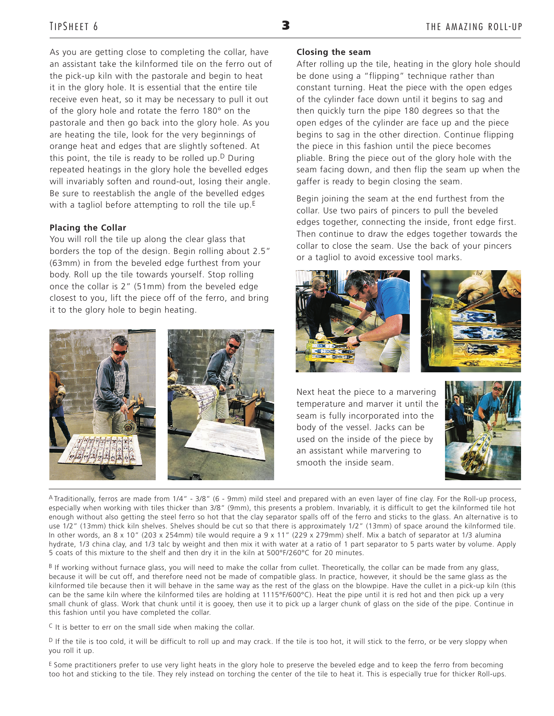As you are getting close to completing the collar, have an assistant take the kilnformed tile on the ferro out of the pick-up kiln with the pastorale and begin to heat it in the glory hole. It is essential that the entire tile receive even heat, so it may be necessary to pull it out of the glory hole and rotate the ferro 180° on the pastorale and then go back into the glory hole. As you are heating the tile, look for the very beginnings of orange heat and edges that are slightly softened. At this point, the tile is ready to be rolled up. $D$  During repeated heatings in the glory hole the bevelled edges will invariably soften and round-out, losing their angle. Be sure to reestablish the angle of the bevelled edges with a tagliol before attempting to roll the tile up.<sup>E</sup>

#### **Placing the Collar**

You will roll the tile up along the clear glass that borders the top of the design. Begin rolling about 2.5" (63mm) in from the beveled edge furthest from your body. Roll up the tile towards yourself. Stop rolling once the collar is 2" (51mm) from the beveled edge closest to you, lift the piece off of the ferro, and bring it to the glory hole to begin heating.



#### **Closing the seam**

After rolling up the tile, heating in the glory hole should be done using a "flipping" technique rather than constant turning. Heat the piece with the open edges of the cylinder face down until it begins to sag and then quickly turn the pipe 180 degrees so that the open edges of the cylinder are face up and the piece begins to sag in the other direction. Continue flipping the piece in this fashion until the piece becomes pliable. Bring the piece out of the glory hole with the seam facing down, and then flip the seam up when the gaffer is ready to begin closing the seam.

Begin joining the seam at the end furthest from the collar. Use two pairs of pincers to pull the beveled edges together, connecting the inside, front edge first. Then continue to draw the edges together towards the collar to close the seam. Use the back of your pincers or a tagliol to avoid excessive tool marks.





Next heat the piece to a marvering temperature and marver it until the seam is fully incorporated into the body of the vessel. Jacks can be used on the inside of the piece by an assistant while marvering to smooth the inside seam.



A Traditionally, ferros are made from 1/4" - 3/8" (6 - 9mm) mild steel and prepared with an even layer of fine clay. For the Roll-up process, especially when working with tiles thicker than 3/8" (9mm), this presents a problem. Invariably, it is difficult to get the kilnformed tile hot enough without also getting the steel ferro so hot that the clay separator spalls off of the ferro and sticks to the glass. An alternative is to use 1/2" (13mm) thick kiln shelves. Shelves should be cut so that there is approximately 1/2" (13mm) of space around the kilnformed tile. In other words, an 8 x 10" (203 x 254mm) tile would require a 9 x 11" (229 x 279mm) shelf. Mix a batch of separator at 1/3 alumina hydrate, 1/3 china clay, and 1/3 talc by weight and then mix it with water at a ratio of 1 part separator to 5 parts water by volume. Apply 5 coats of this mixture to the shelf and then dry it in the kiln at 500°F/260°C for 20 minutes.

 $B$  If working without furnace glass, you will need to make the collar from cullet. Theoretically, the collar can be made from any glass, because it will be cut off, and therefore need not be made of compatible glass. In practice, however, it should be the same glass as the kilnformed tile because then it will behave in the same way as the rest of the glass on the blowpipe. Have the cullet in a pick-up kiln (this can be the same kiln where the kilnformed tiles are holding at 1115°F/600°C). Heat the pipe until it is red hot and then pick up a very small chunk of glass. Work that chunk until it is gooey, then use it to pick up a larger chunk of glass on the side of the pipe. Continue in this fashion until you have completed the collar.

 $C$  It is better to err on the small side when making the collar.

D If the tile is too cold, it will be difficult to roll up and may crack. If the tile is too hot, it will stick to the ferro, or be very sloppy when you roll it up.

E Some practitioners prefer to use very light heats in the glory hole to preserve the beveled edge and to keep the ferro from becoming too hot and sticking to the tile. They rely instead on torching the center of the tile to heat it. This is especially true for thicker Roll-ups.